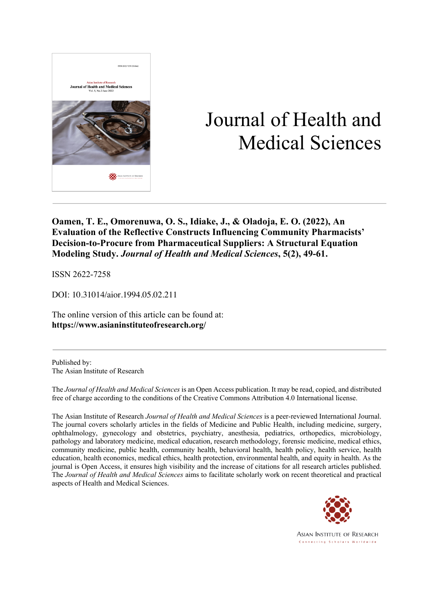

# Journal of Health and Medical Sciences

**Oamen, T. E., Omorenuwa, O. S., Idiake, J., & Oladoja, E. O. (2022), An Evaluation of the Reflective Constructs Influencing Community Pharmacists' Decision-to-Procure from Pharmaceutical Suppliers: A Structural Equation Modeling Study.** *Journal of Health and Medical Sciences***, 5(2), 49-61.**

ISSN 2622-7258

DOI: 10.31014/aior.1994.05.02.211

The online version of this article can be found at: **https://www.asianinstituteofresearch.org/**

Published by: The Asian Institute of Research

The *Journal of Health and Medical Sciences* is an Open Access publication. It may be read, copied, and distributed free of charge according to the conditions of the Creative Commons Attribution 4.0 International license.

The Asian Institute of Research *Journal of Health and Medical Sciences* is a peer-reviewed International Journal. The journal covers scholarly articles in the fields of Medicine and Public Health, including medicine, surgery, ophthalmology, gynecology and obstetrics, psychiatry, anesthesia, pediatrics, orthopedics, microbiology, pathology and laboratory medicine, medical education, research methodology, forensic medicine, medical ethics, community medicine, public health, community health, behavioral health, health policy, health service, health education, health economics, medical ethics, health protection, environmental health, and equity in health. As the journal is Open Access, it ensures high visibility and the increase of citations for all research articles published. The *Journal of Health and Medical Sciences* aims to facilitate scholarly work on recent theoretical and practical aspects of Health and Medical Sciences.



**ASIAN INSTITUTE OF RESEARCH** Connecting Scholars Worldwide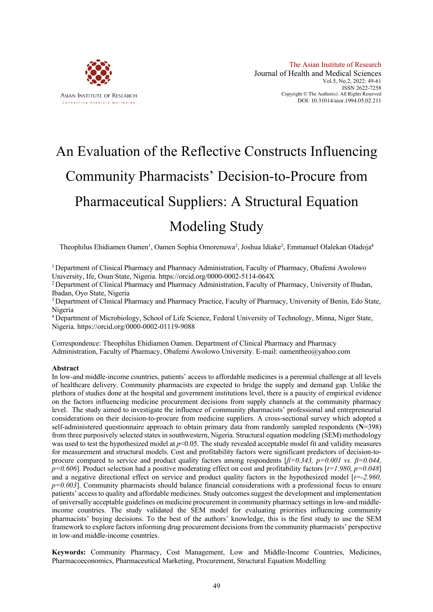

# An Evaluation of the Reflective Constructs Influencing Community Pharmacists' Decision-to-Procure from Pharmaceutical Suppliers: A Structural Equation Modeling Study

Theophilus Ehidiamen Oamen<sup>1</sup>, Oamen Sophia Omorenuwa<sup>2</sup>, Joshua Idiake<sup>3</sup>, Emmanuel Olalekan Oladoja<sup>4</sup>

1 Department of Clinical Pharmacy and Pharmacy Administration, Faculty of Pharmacy, Obafemi Awolowo University, Ife, Osun State, Nigeria. https://orcid.org/0000-0002-5114-064X

<sup>2</sup> Department of Clinical Pharmacy and Pharmacy Administration, Faculty of Pharmacy, University of Ibadan, Ibadan, Oyo State, Nigeria

<sup>3</sup> Department of Clinical Pharmacy and Pharmacy Practice, Faculty of Pharmacy, University of Benin, Edo State, Nigeria

<sup>4</sup> Department of Microbiology, School of Life Science, Federal University of Technology, Minna, Niger State, Nigeria. https://orcid.org/0000-0002-01119-9088

Correspondence: Theophilus Ehidiamen Oamen. Department of Clinical Pharmacy and Pharmacy Administration, Faculty of Pharmacy, Obafemi Awolowo University. E-mail: oamentheo@yahoo.com

#### **Abstract**

In low-and middle-income countries, patients' access to affordable medicines is a perennial challenge at all levels of healthcare delivery. Community pharmacists are expected to bridge the supply and demand gap. Unlike the plethora of studies done at the hospital and government institutions level, there is a paucity of empirical evidence on the factors influencing medicine procurement decisions from supply channels at the community pharmacy level. The study aimed to investigate the influence of community pharmacists' professional and entrepreneurial considerations on their decision-to-procure from medicine suppliers. A cross-sectional survey which adopted a self-administered questionnaire approach to obtain primary data from randomly sampled respondents (**N**=398) from three purposively selected states in southwestern, Nigeria. Structural equation modeling (SEM) methodology was used to test the hypothesized model at  $p<0.05$ . The study revealed acceptable model fit and validity measures for measurement and structural models. Cost and profitability factors were significant predictors of decision-toprocure compared to service and product quality factors among respondents  $\beta = 0.343$ ,  $p = 0.001$  vs.  $\beta = 0.044$ , *p=0.606*]. Product selection had a positive moderating effect on cost and profitability factors [*t=1.980, p=0.048*] and a negative directional effect on service and product quality factors in the hypothesized model [*t=-2.960, p=0.003*]. Community pharmacists should balance financial considerations with a professional focus to ensure patients' access to quality and affordable medicines. Study outcomes suggest the development and implementation of universally acceptable guidelines on medicine procurement in community pharmacy settings in low-and middleincome countries. The study validated the SEM model for evaluating priorities influencing community pharmacists' buying decisions. To the best of the authors' knowledge, this is the first study to use the SEM framework to explore factors informing drug procurement decisions from the community pharmacists' perspective in low-and middle-income countries.

**Keywords:** Community Pharmacy, Cost Management, Low and Middle-Income Countries, Medicines, Pharmacoeconomics, Pharmaceutical Marketing, Procurement, Structural Equation Modelling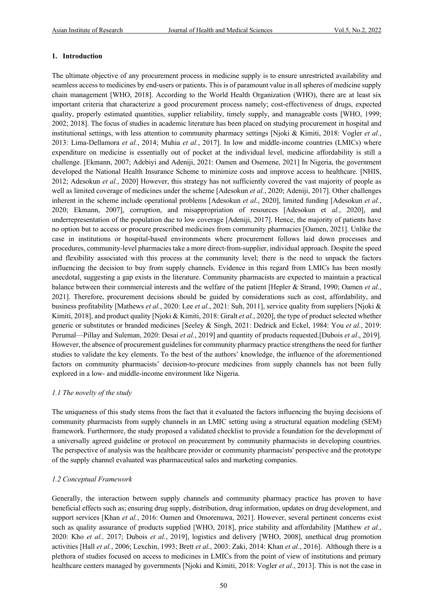## **1. Introduction**

The ultimate objective of any procurement process in medicine supply is to ensure unrestricted availability and seamless access to medicines by end-users or patients. This is of paramount value in all spheres of medicine supply chain management [WHO, 2018]. According to the World Health Organization (WHO), there are at least six important criteria that characterize a good procurement process namely; cost-effectiveness of drugs, expected quality, properly estimated quantities, supplier reliability, timely supply, and manageable costs [WHO, 1999; 2002; 2018]. The focus of studies in academic literature has been placed on studying procurement in hospital and institutional settings, with less attention to community pharmacy settings [Njoki & Kimiti, 2018: Vogler *et al.*, 2013: Lima-Dellamora *et al.*, 2014; Muhia *et al.*, 2017]. In low and middle-income countries (LMICs) where expenditure on medicine is essentially out of pocket at the individual level, medicine affordability is still a challenge. [Ekmann, 2007; Adebiyi and Adeniji, 2021: Oamen and Osemene, 2021] In Nigeria, the government developed the National Health Insurance Scheme to minimize costs and improve access to healthcare. [NHIS, 2012; Adesokun *et al.*, 2020] However, this strategy has not sufficiently covered the vast majority of people as well as limited coverage of medicines under the scheme [Adesokun *et al.*, 2020; Adeniji, 2017]. Other challenges inherent in the scheme include operational problems [Adesokun *et al.*, 2020], limited funding [Adesokun *et al.*, 2020; Ekmann, 2007], corruption, and misappropriation of resources [Adesokun et *al.*, 2020], and underrepresentation of the population due to low coverage [Adeniji, 2017]. Hence, the majority of patients have no option but to access or procure prescribed medicines from community pharmacies [Oamen, 2021]. Unlike the case in institutions or hospital-based environments where procurement follows laid down processes and procedures, community-level pharmacies take a more direct-from-supplier, individual approach. Despite the speed and flexibility associated with this process at the community level; there is the need to unpack the factors influencing the decision to buy from supply channels. Evidence in this regard from LMICs has been mostly anecdotal, suggesting a gap exists in the literature. Community pharmacists are expected to maintain a practical balance between their commercial interests and the welfare of the patient [Hepler & Strand, 1990; Oamen *et al.*, 2021]. Therefore, procurement decisions should be guided by considerations such as cost, affordability, and business profitability [Mathews *et al.*, 2020: Lee *et al.*, 2021: Suh, 2011], service quality from suppliers [Njoki & Kimiti, 2018], and product quality [Njoki & Kimiti, 2018: Giralt *et al.*, 2020], the type of product selected whether generic or substitutes or branded medicines [Seeley & Singh, 2021: Dedrick and Eckel, 1984: You *et al.*, 2019: Perumal—Pillay and Suleman, 2020: Desai *et al.*, 2019] and quantity of products requested.[Dubois *et al*., 2019]. However, the absence of procurement guidelines for community pharmacy practice strengthens the need for further studies to validate the key elements. To the best of the authors' knowledge, the influence of the aforementioned factors on community pharmacists' decision-to-procure medicines from supply channels has not been fully explored in a low- and middle-income environment like Nigeria.

## *1.1 The novelty of the study*

The uniqueness of this study stems from the fact that it evaluated the factors influencing the buying decisions of community pharmacists from supply channels in an LMIC setting using a structural equation modeling (SEM) framework. Furthermore, the study proposed a validated checklist to provide a foundation for the development of a universally agreed guideline or protocol on procurement by community pharmacists in developing countries. The perspective of analysis was the healthcare provider or community pharmacists' perspective and the prototype of the supply channel evaluated was pharmaceutical sales and marketing companies.

# *1.2 Conceptual Framework*

Generally, the interaction between supply channels and community pharmacy practice has proven to have beneficial effects such as; ensuring drug supply, distribution, drug information, updates on drug development, and support services [Khan *et al.*, 2016: Oamen and Omorenuwa, 2021]. However, several pertinent concerns exist such as quality assurance of products supplied [WHO, 2018], price stability and affordability [Matthew *et al.*, 2020: Kho *et al.,* 2017; Dubois *et al.*, 2019], logistics and delivery [WHO, 2008], unethical drug promotion activities [Hall *et al.*, 2006; Lexchin, 1993; Brett *et al.*, 2003: Zaki, 2014: Khan *et al.*, 2016]. Although there is a plethora of studies focused on access to medicines in LMICs from the point of view of institutions and primary healthcare centers managed by governments [Njoki and Kimiti, 2018: Vogler *et al.*, 2013]. This is not the case in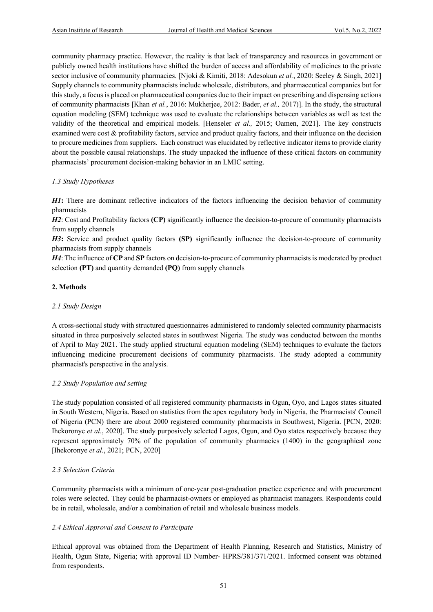community pharmacy practice. However, the reality is that lack of transparency and resources in government or publicly owned health institutions have shifted the burden of access and affordability of medicines to the private sector inclusive of community pharmacies. [Njoki & Kimiti, 2018: Adesokun *et al.*, 2020: Seeley & Singh, 2021] Supply channels to community pharmacists include wholesale, distributors, and pharmaceutical companies but for this study, a focus is placed on pharmaceutical companies due to their impact on prescribing and dispensing actions of community pharmacists [Khan *et al.*, 2016: Mukherjee, 2012: Bader, *et al.,* 2017)]. In the study, the structural equation modeling (SEM) technique was used to evaluate the relationships between variables as well as test the validity of the theoretical and empirical models. [Henseler *et al.,* 2015; Oamen, 2021]. The key constructs examined were cost & profitability factors, service and product quality factors, and their influence on the decision to procure medicines from suppliers. Each construct was elucidated by reflective indicator items to provide clarity about the possible causal relationships. The study unpacked the influence of these critical factors on community pharmacists' procurement decision-making behavior in an LMIC setting.

#### *1.3 Study Hypotheses*

*H1***:** There are dominant reflective indicators of the factors influencing the decision behavior of community pharmacists

*H2*: Cost and Profitability factors **(CP)** significantly influence the decision-to-procure of community pharmacists from supply channels

*H3***:** Service and product quality factors **(SP)** significantly influence the decision-to-procure of community pharmacists from supply channels

*H4*: The influence of **CP** and **SP** factors on decision-to-procure of community pharmacists is moderated by product selection **(PT)** and quantity demanded **(PQ)** from supply channels

#### **2. Methods**

#### *2.1 Study Design*

A cross-sectional study with structured questionnaires administered to randomly selected community pharmacists situated in three purposively selected states in southwest Nigeria. The study was conducted between the months of April to May 2021. The study applied structural equation modeling (SEM) techniques to evaluate the factors influencing medicine procurement decisions of community pharmacists. The study adopted a community pharmacist's perspective in the analysis.

## *2.2 Study Population and setting*

The study population consisted of all registered community pharmacists in Ogun, Oyo, and Lagos states situated in South Western, Nigeria. Based on statistics from the apex regulatory body in Nigeria, the Pharmacists' Council of Nigeria (PCN) there are about 2000 registered community pharmacists in Southwest, Nigeria. [PCN, 2020: Ihekoronye *et al*., 2020]. The study purposively selected Lagos, Ogun, and Oyo states respectively because they represent approximately 70% of the population of community pharmacies (1400) in the geographical zone [Ihekoronye *et al.*, 2021; PCN, 2020]

#### *2.3 Selection Criteria*

Community pharmacists with a minimum of one-year post-graduation practice experience and with procurement roles were selected. They could be pharmacist-owners or employed as pharmacist managers. Respondents could be in retail, wholesale, and/or a combination of retail and wholesale business models.

## *2.4 Ethical Approval and Consent to Participate*

Ethical approval was obtained from the Department of Health Planning, Research and Statistics, Ministry of Health, Ogun State, Nigeria; with approval ID Number- HPRS/381/371/2021. Informed consent was obtained from respondents.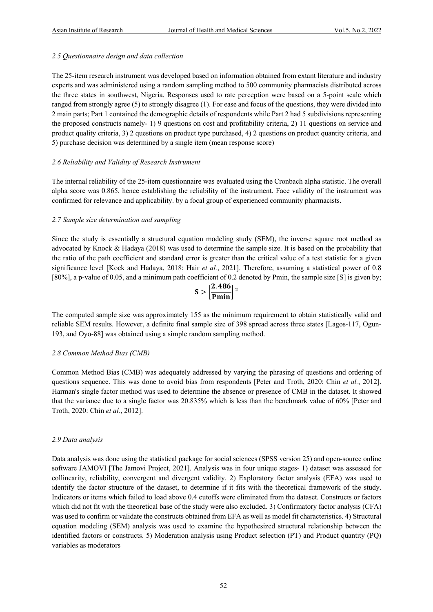#### *2.5 Questionnaire design and data collection*

The 25-item research instrument was developed based on information obtained from extant literature and industry experts and was administered using a random sampling method to 500 community pharmacists distributed across the three states in southwest, Nigeria. Responses used to rate perception were based on a 5-point scale which ranged from strongly agree (5) to strongly disagree (1). For ease and focus of the questions, they were divided into 2 main parts; Part 1 contained the demographic details of respondents while Part 2 had 5 subdivisions representing the proposed constructs namely- 1) 9 questions on cost and profitability criteria, 2) 11 questions on service and product quality criteria, 3) 2 questions on product type purchased, 4) 2 questions on product quantity criteria, and 5) purchase decision was determined by a single item (mean response score)

## *2.6 Reliability and Validity of Research Instrument*

The internal reliability of the 25-item questionnaire was evaluated using the Cronbach alpha statistic. The overall alpha score was 0.865, hence establishing the reliability of the instrument. Face validity of the instrument was confirmed for relevance and applicability. by a focal group of experienced community pharmacists.

#### *2.7 Sample size determination and sampling*

Since the study is essentially a structural equation modeling study (SEM), the inverse square root method as advocated by Knock & Hadaya (2018) was used to determine the sample size. It is based on the probability that the ratio of the path coefficient and standard error is greater than the critical value of a test statistic for a given significance level [Kock and Hadaya, 2018; Hair *et al.*, 2021]. Therefore, assuming a statistical power of 0.8 [80%], a p-value of 0.05, and a minimum path coefficient of 0.2 denoted by Pmin, the sample size [S] is given by;

$$
S > \left[\frac{2.486}{Pmin}\right]^2
$$

The computed sample size was approximately 155 as the minimum requirement to obtain statistically valid and reliable SEM results. However, a definite final sample size of 398 spread across three states [Lagos-117, Ogun-193, and Oyo-88] was obtained using a simple random sampling method.

## *2.8 Common Method Bias (CMB)*

Common Method Bias (CMB) was adequately addressed by varying the phrasing of questions and ordering of questions sequence. This was done to avoid bias from respondents [Peter and Troth, 2020: Chin *et al.*, 2012]. Harman's single factor method was used to determine the absence or presence of CMB in the dataset. It showed that the variance due to a single factor was 20.835% which is less than the benchmark value of 60% [Peter and Troth, 2020: Chin *et al.*, 2012].

## *2.9 Data analysis*

Data analysis was done using the statistical package for social sciences (SPSS version 25) and open-source online software JAMOVI [The Jamovi Project, 2021]. Analysis was in four unique stages- 1) dataset was assessed for collinearity, reliability, convergent and divergent validity. 2) Exploratory factor analysis (EFA) was used to identify the factor structure of the dataset, to determine if it fits with the theoretical framework of the study. Indicators or items which failed to load above 0.4 cutoffs were eliminated from the dataset. Constructs or factors which did not fit with the theoretical base of the study were also excluded. 3) Confirmatory factor analysis (CFA) was used to confirm or validate the constructs obtained from EFA as well as model fit characteristics. 4) Structural equation modeling (SEM) analysis was used to examine the hypothesized structural relationship between the identified factors or constructs. 5) Moderation analysis using Product selection (PT) and Product quantity (PQ) variables as moderators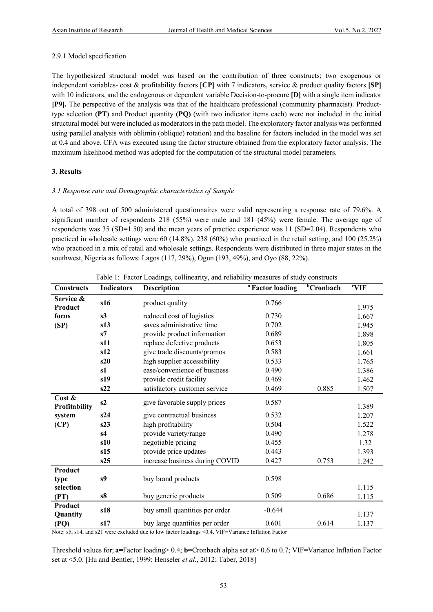#### 2.9.1 Model specification

The hypothesized structural model was based on the contribution of three constructs; two exogenous or independent variables- cost & profitability factors [**CP]** with 7 indicators, service & product quality factors **[SP]** with 10 indicators, and the endogenous or dependent variable Decision-to-procure **[D]** with a single item indicator **[P9].** The perspective of the analysis was that of the healthcare professional (community pharmacist). Producttype selection **(PT)** and Product quantity **(PQ)** (with two indicator items each) were not included in the initial structural model but were included as moderators in the path model. The exploratory factor analysis was performed using parallel analysis with oblimin (oblique) rotation) and the baseline for factors included in the model was set at 0.4 and above. CFA was executed using the factor structure obtained from the exploratory factor analysis. The maximum likelihood method was adopted for the computation of the structural model parameters.

#### **3. Results**

#### *3.1 Response rate and Demographic characteristics of Sample*

A total of 398 out of 500 administered questionnaires were valid representing a response rate of 79.6%. A significant number of respondents 218 (55%) were male and 181 (45%) were female. The average age of respondents was 35 (SD=1.50) and the mean years of practice experience was 11 (SD=2.04). Respondents who practiced in wholesale settings were 60 (14.8%), 238 (60%) who practiced in the retail setting, and 100 (25.2%) who practiced in a mix of retail and wholesale settings. Respondents were distributed in three major states in the southwest, Nigeria as follows: Lagos (117, 29%), Ogun (193, 49%), and Oyo (88, 22%).

| <b>Constructs</b>          | <b>Indicators</b> | <b>Description</b>             | <sup>a</sup> Factor loading | <b>bCronbach</b> | <sup>c</sup> VIF |
|----------------------------|-------------------|--------------------------------|-----------------------------|------------------|------------------|
| Service &<br>Product       | s16               | product quality                | 0.766                       |                  | 1.975            |
| focus                      | s3                | reduced cost of logistics      | 0.730                       |                  | 1.667            |
| (SP)                       | s13               | saves administrative time      | 0.702                       |                  | 1.945            |
|                            | s7                | provide product information    | 0.689                       |                  | 1.898            |
|                            | s11               | replace defective products     | 0.653                       |                  | 1.805            |
|                            | s12               | give trade discounts/promos    | 0.583                       |                  | 1.661            |
|                            | s20               | high supplier accessibility    | 0.533                       |                  | 1.765            |
|                            | s1                | ease/convenience of business   | 0.490                       |                  | 1.386            |
|                            | s19               | provide credit facility        | 0.469                       |                  | 1.462            |
|                            | s22               | satisfactory customer service  | 0.469                       | 0.885            | 1.507            |
| Cost $\&$<br>Profitability | s2                | give favorable supply prices   | 0.587                       |                  | 1.389            |
| system                     | s24               | give contractual business      | 0.532                       |                  | 1.207            |
| (CP)                       | s23               | high profitability             | 0.504                       |                  | 1.522            |
|                            | s <sub>4</sub>    | provide variety/range          | 0.490                       |                  | 1.278            |
|                            | s10               | negotiable pricing             | 0.455                       |                  | 1.32             |
|                            | s15               | provide price updates          | 0.443                       |                  | 1.393            |
|                            | s25               | increase business during COVID | 0.427                       | 0.753            | 1.242            |
| Product                    |                   |                                |                             |                  |                  |
| type                       | s9                | buy brand products             | 0.598                       |                  |                  |
| selection                  |                   |                                |                             |                  | 1.115            |
| (PT)                       | s8                | buy generic products           | 0.509                       | 0.686            | 1.115            |
| Product<br>Quantity        | s18               | buy small quantities per order | $-0.644$                    |                  | 1.137            |
| (PQ)                       | s17               | buy large quantities per order | 0.601                       | 0.614            | 1.137            |

|  |  | Table 1: Factor Loadings, collinearity, and reliability measures of study constructs |  |  |
|--|--|--------------------------------------------------------------------------------------|--|--|
|  |  |                                                                                      |  |  |

Note: s5, s14, and s21 were excluded due to low factor loadings <0.4, VIF=Variance Inflation Factor

Threshold values for; **a=**Factor loading> 0.4; **b**=Cronbach alpha set at> 0.6 to 0.7; VIF=Variance Inflation Factor set at <5.0. [Hu and Bentler, 1999: Henseler *et al.*, 2012; Taber, 2018]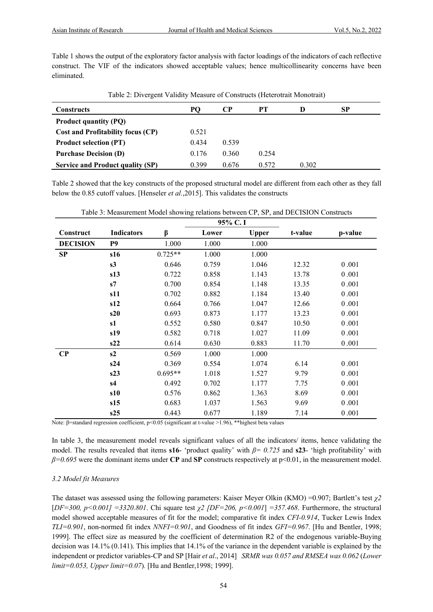Table 1 shows the output of the exploratory factor analysis with factor loadings of the indicators of each reflective construct. The VIF of the indicators showed acceptable values; hence multicollinearity concerns have been eliminated.

| Constructs                              | PO.   | CР    | PТ    |       | SP |
|-----------------------------------------|-------|-------|-------|-------|----|
| <b>Product quantity (PQ)</b>            |       |       |       |       |    |
| Cost and Profitability focus (CP)       | 0.521 |       |       |       |    |
| <b>Product selection (PT)</b>           | 0.434 | 0.539 |       |       |    |
| <b>Purchase Decision (D)</b>            | 0.176 | 0.360 | 0.254 |       |    |
| <b>Service and Product quality (SP)</b> | 0.399 | 0.676 | 0.572 | 0.302 |    |

Table 2 showed that the key constructs of the proposed structural model are different from each other as they fall below the 0.85 cutoff values. [Henseler *et al.*,2015]. This validates the constructs

|                 |                   |           | 95% C.I |              |         |         |
|-----------------|-------------------|-----------|---------|--------------|---------|---------|
| Construct       | <b>Indicators</b> | β         | Lower   | <b>Upper</b> | t-value | p-value |
| <b>DECISION</b> | P <sub>9</sub>    | 1.000     | 1.000   | 1.000        |         |         |
| SP              | s16               | $0.725**$ | 1.000   | 1.000        |         |         |
|                 | s3                | 0.646     | 0.759   | 1.046        | 12.32   | 0.001   |
|                 | s13               | 0.722     | 0.858   | 1.143        | 13.78   | 0.001   |
|                 | s7                | 0.700     | 0.854   | 1.148        | 13.35   | 0.001   |
|                 | s11               | 0.702     | 0.882   | 1.184        | 13.40   | 0.001   |
|                 | s12               | 0.664     | 0.766   | 1.047        | 12.66   | 0.001   |
|                 | s20               | 0.693     | 0.873   | 1.177        | 13.23   | 0.001   |
|                 | s1                | 0.552     | 0.580   | 0.847        | 10.50   | 0.001   |
|                 | s19               | 0.582     | 0.718   | 1.027        | 11.09   | 0.001   |
|                 | s22               | 0.614     | 0.630   | 0.883        | 11.70   | 0.001   |
| $\bf CP$        | s2                | 0.569     | 1.000   | 1.000        |         |         |
|                 | s24               | 0.369     | 0.554   | 1.074        | 6.14    | 0.001   |
|                 | s23               | $0.695**$ | 1.018   | 1.527        | 9.79    | 0.001   |
|                 | s4                | 0.492     | 0.702   | 1.177        | 7.75    | 0.001   |
|                 | s10               | 0.576     | 0.862   | 1.363        | 8.69    | 0.001   |
|                 | s15               | 0.683     | 1.037   | 1.563        | 9.69    | 0.001   |
|                 | s25               | 0.443     | 0.677   | 1.189        | 7.14    | 0.001   |

Table 3: Measurement Model showing relations between CP, SP, and DECISION Constructs

Note: β=standard regression coefficient, p<0.05 (significant at t-value >1.96), \*\*highest beta values

In table 3, the measurement model reveals significant values of all the indicators/ items, hence validating the model. The results revealed that items **s16**- 'product quality' with *β= 0.725* and **s23**- 'high profitability' with *β=0.695* were the dominant items under **CP** and **SP** constructs respectively at p<0.01, in the measurement model.

# *3.2 Model fit Measures*

The dataset was assessed using the following parameters: Kaiser Meyer Olkin (KMO) =0.907; Bartlett's test *χ2*  [*DF=300, p<0.001] =3320.801*. Chi square test *χ2 [DF=206, p<0.001*] *=357.468*. Furthermore, the structural model showed acceptable measures of fit for the model; comparative fit index *CFI-0.914*, Tucker Lewis Index *TLI=0.901*, non-normed fit index *NNFI=0.901*, and Goodness of fit index *GFI=0.967*. [Hu and Bentler, 1998; 1999]. The effect size as measured by the coefficient of determination R2 of the endogenous variable-Buying decision was 14.1% (0.141). This implies that 14.1% of the variance in the dependent variable is explained by the independent or predictor variables-CP and SP [Hair *et al*., 2014] *SRMR was 0.057 and RMSEA was 0.062* (*Lower limit=0.053, Upper limit=0.07*)*.* [Hu and Bentler,1998; 1999].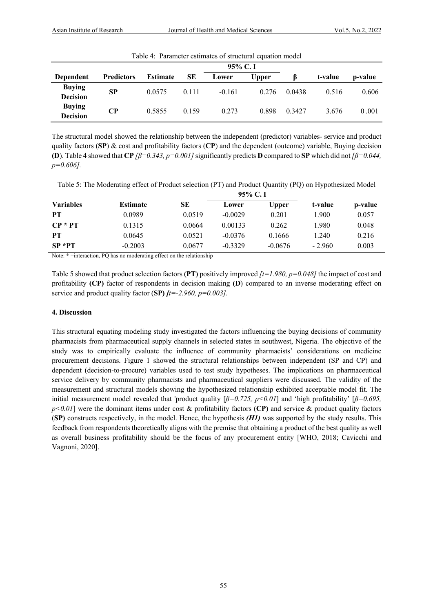| Table 4: Parameter estimates of structural equation model |                   |                 |       |          |              |        |         |         |  |  |
|-----------------------------------------------------------|-------------------|-----------------|-------|----------|--------------|--------|---------|---------|--|--|
|                                                           |                   | $95\%$ C. I     |       |          |              |        |         |         |  |  |
| <b>Dependent</b>                                          | <b>Predictors</b> | <b>Estimate</b> | SЕ    | Lower    | <b>Upper</b> |        | t-value | p-value |  |  |
| <b>Buying</b><br><b>Decision</b>                          | <b>SP</b>         | 0.0575          | 0.111 | $-0.161$ | 0.276        | 0.0438 | 0.516   | 0.606   |  |  |
| <b>Buying</b><br><b>Decision</b>                          | CР                | 0.5855          | 0.159 | 0.273    | 0.898        | 0.3427 | 3.676   | 0.001   |  |  |

Table 4: Parameter estimates of structural equation model

The structural model showed the relationship between the independent (predictor) variables- service and product quality factors (**SP**) & cost and profitability factors (**CP**) and the dependent (outcome) variable, Buying decision **(D)**. Table 4 showed that **CP**  $\beta$  = 0.343, p=0.001] significantly predicts **D** compared to **SP** which did not  $\beta$  = 0.044, *p=0.606].*

| Table 5: The Moderating effect of Product selection (PT) and Product Quantity (PQ) on Hypothesized Model |
|----------------------------------------------------------------------------------------------------------|
|                                                                                                          |

|                  |                 |        | $95\%$ C. I |              |          |         |
|------------------|-----------------|--------|-------------|--------------|----------|---------|
| <b>Variables</b> | <b>Estimate</b> | SЕ     | Lower       | <b>Upper</b> | t-value  | p-value |
| PT               | 0.0989          | 0.0519 | $-0.0029$   | 0.201        | 1.900    | 0.057   |
| $CP * PT$        | 0.1315          | 0.0664 | 0.00133     | 0.262        | 1.980    | 0.048   |
| PТ               | 0.0645          | 0.0521 | $-0.0376$   | 0.1666       | 1.240    | 0.216   |
| $SP * PT$        | $-0.2003$       | 0.0677 | $-0.3329$   | $-0.0676$    | $-2.960$ | 0.003   |

Note: \* =interaction, PQ has no moderating effect on the relationship

Table 5 showed that product selection factors **(PT)** positively improved *[t=1.980, p=0.048]* the impact of cost and profitability **(CP)** factor of respondents in decision making **(D**) compared to an inverse moderating effect on service and product quality factor (**SP)** *[t=-2.960, p=0.003].*

#### **4. Discussion**

This structural equating modeling study investigated the factors influencing the buying decisions of community pharmacists from pharmaceutical supply channels in selected states in southwest, Nigeria. The objective of the study was to empirically evaluate the influence of community pharmacists' considerations on medicine procurement decisions. Figure 1 showed the structural relationships between independent (SP and CP) and dependent (decision-to-procure) variables used to test study hypotheses. The implications on pharmaceutical service delivery by community pharmacists and pharmaceutical suppliers were discussed. The validity of the measurement and structural models showing the hypothesized relationship exhibited acceptable model fit. The initial measurement model revealed that 'product quality  $\beta = 0.725$ ,  $p < 0.01$  and 'high profitability'  $\beta = 0.695$ , *p<0.01*] were the dominant items under cost & profitability factors (**CP)** and service & product quality factors (**SP)** constructs respectively, in the model. Hence, the hypothesis *(H1)* was supported by the study results. This feedback from respondents theoretically aligns with the premise that obtaining a product of the best quality as well as overall business profitability should be the focus of any procurement entity [WHO, 2018; Cavicchi and Vagnoni, 2020].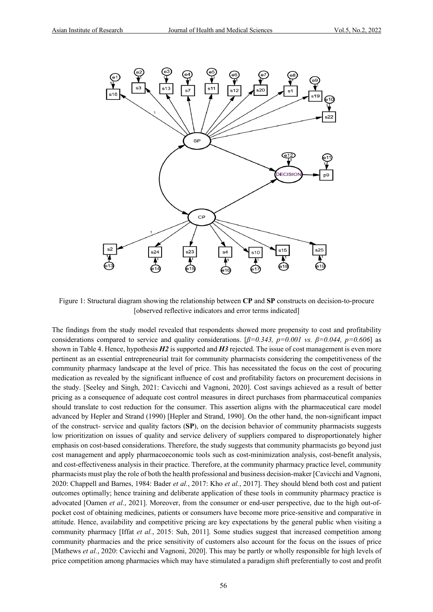

Figure 1: Structural diagram showing the relationship between **CP** and **SP** constructs on decision-to-procure [observed reflective indicators and error terms indicated]

The findings from the study model revealed that respondents showed more propensity to cost and profitability considerations compared to service and quality considerations. [*β=0.343, p=0.001 vs. β=0.044, p=0.606*] as shown in Table 4. Hence, hypothesis *H2* is supported and *H3* rejected. The issue of cost management is even more pertinent as an essential entrepreneurial trait for community pharmacists considering the competitiveness of the community pharmacy landscape at the level of price. This has necessitated the focus on the cost of procuring medication as revealed by the significant influence of cost and profitability factors on procurement decisions in the study. [Seeley and Singh, 2021: Cavicchi and Vagnoni, 2020]. Cost savings achieved as a result of better pricing as a consequence of adequate cost control measures in direct purchases from pharmaceutical companies should translate to cost reduction for the consumer. This assertion aligns with the pharmaceutical care model advanced by Hepler and Strand (1990) [Hepler and Strand, 1990]. On the other hand, the non-significant impact of the construct- service and quality factors (**SP**), on the decision behavior of community pharmacists suggests low prioritization on issues of quality and service delivery of suppliers compared to disproportionately higher emphasis on cost-based considerations. Therefore, the study suggests that community pharmacists go beyond just cost management and apply pharmacoeconomic tools such as cost-minimization analysis, cost-benefit analysis, and cost-effectiveness analysis in their practice. Therefore, at the community pharmacy practice level, community pharmacists must play the role of both the health professional and business decision-maker [Cavicchi and Vagnoni, 2020: Chappell and Barnes, 1984: Bader *et al.*, 2017: Kho *et al.*, 2017]. They should blend both cost and patient outcomes optimally; hence training and deliberate application of these tools in community pharmacy practice is advocated [Oamen *et al.*, 2021]. Moreover, from the consumer or end-user perspective, due to the high out-ofpocket cost of obtaining medicines, patients or consumers have become more price-sensitive and comparative in attitude. Hence, availability and competitive pricing are key expectations by the general public when visiting a community pharmacy [Iffat *et al.*, 2015: Suh, 2011]. Some studies suggest that increased competition among community pharmacies and the price sensitivity of customers also account for the focus on the issues of price [Mathews *et al.*, 2020: Cavicchi and Vagnoni, 2020]. This may be partly or wholly responsible for high levels of price competition among pharmacies which may have stimulated a paradigm shift preferentially to cost and profit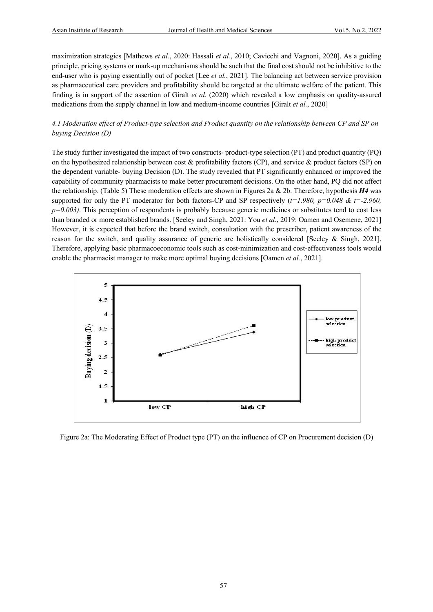maximization strategies [Mathews *et al.*, 2020: Hassali *et al.*, 2010; Cavicchi and Vagnoni, 2020]. As a guiding principle, pricing systems or mark-up mechanisms should be such that the final cost should not be inhibitive to the end-user who is paying essentially out of pocket [Lee *et al.*, 2021]. The balancing act between service provision as pharmaceutical care providers and profitability should be targeted at the ultimate welfare of the patient. This finding is in support of the assertion of Giralt *et al.* (2020) which revealed a low emphasis on quality-assured medications from the supply channel in low and medium-income countries [Giralt *et al.*, 2020]

## *4.1 Moderation effect of Product-type selection and Product quantity on the relationship between CP and SP on buying Decision (D)*

The study further investigated the impact of two constructs- product-type selection (PT) and product quantity (PQ) on the hypothesized relationship between cost  $\&$  profitability factors (CP), and service  $\&$  product factors (SP) on the dependent variable- buying Decision (D). The study revealed that PT significantly enhanced or improved the capability of community pharmacists to make better procurement decisions. On the other hand, PQ did not affect the relationship. (Table 5) These moderation effects are shown in Figures 2a & 2b. Therefore, hypothesis *H4* was supported for only the PT moderator for both factors-CP and SP respectively (*t=1.980, p=0.048 & t=-2.960, p*=0.003). This perception of respondents is probably because generic medicines or substitutes tend to cost less than branded or more established brands. [Seeley and Singh, 2021: You *et al.*, 2019: Oamen and Osemene, 2021] However, it is expected that before the brand switch, consultation with the prescriber, patient awareness of the reason for the switch, and quality assurance of generic are holistically considered [Seeley & Singh, 2021]. Therefore, applying basic pharmacoeconomic tools such as cost-minimization and cost-effectiveness tools would enable the pharmacist manager to make more optimal buying decisions [Oamen *et al.*, 2021].



Figure 2a: The Moderating Effect of Product type (PT) on the influence of CP on Procurement decision (D)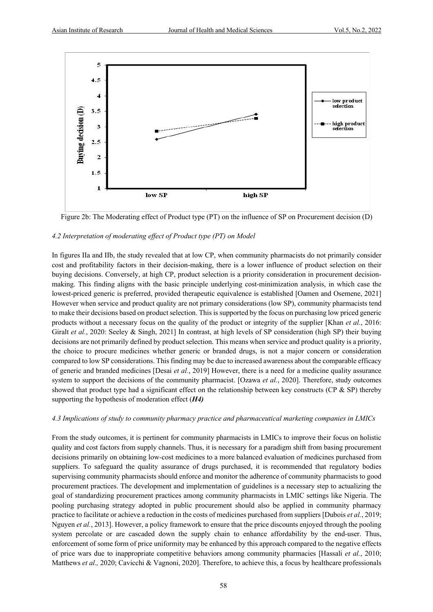

Figure 2b: The Moderating effect of Product type (PT) on the influence of SP on Procurement decision (D)

#### *4.2 Interpretation of moderating effect of Product type (PT) on Model*

In figures IIa and IIb, the study revealed that at low CP, when community pharmacists do not primarily consider cost and profitability factors in their decision-making, there is a lower influence of product selection on their buying decisions. Conversely, at high CP, product selection is a priority consideration in procurement decisionmaking. This finding aligns with the basic principle underlying cost-minimization analysis, in which case the lowest-priced generic is preferred, provided therapeutic equivalence is established [Oamen and Osemene, 2021] However when service and product quality are not primary considerations (low SP), community pharmacists tend to make their decisions based on product selection. This is supported by the focus on purchasing low priced generic products without a necessary focus on the quality of the product or integrity of the supplier [Khan *et al.*, 2016: Giralt *et al.*, 2020: Seeley & Singh, 2021] In contrast, at high levels of SP consideration (high SP) their buying decisions are not primarily defined by product selection. This means when service and product quality is a priority, the choice to procure medicines whether generic or branded drugs, is not a major concern or consideration compared to low SP considerations. This finding may be due to increased awareness about the comparable efficacy of generic and branded medicines [Desai *et al.*, 2019] However, there is a need for a medicine quality assurance system to support the decisions of the community pharmacist. [Ozawa *et al.*, 2020]. Therefore, study outcomes showed that product type had a significant effect on the relationship between key constructs (CP & SP) thereby supporting the hypothesis of moderation effect (*H4)*

## *4.3 Implications of study to community pharmacy practice and pharmaceutical marketing companies in LMICs*

From the study outcomes, it is pertinent for community pharmacists in LMICs to improve their focus on holistic quality and cost factors from supply channels. Thus, it is necessary for a paradigm shift from basing procurement decisions primarily on obtaining low-cost medicines to a more balanced evaluation of medicines purchased from suppliers. To safeguard the quality assurance of drugs purchased, it is recommended that regulatory bodies supervising community pharmacists should enforce and monitor the adherence of community pharmacists to good procurement practices. The development and implementation of guidelines is a necessary step to actualizing the goal of standardizing procurement practices among community pharmacists in LMIC settings like Nigeria. The pooling purchasing strategy adopted in public procurement should also be applied in community pharmacy practice to facilitate or achieve a reduction in the costs of medicines purchased from suppliers [Dubois *et al.*, 2019; Nguyen *et al.*, 2013]. However, a policy framework to ensure that the price discounts enjoyed through the pooling system percolate or are cascaded down the supply chain to enhance affordability by the end-user. Thus, enforcement of some form of price uniformity may be enhanced by this approach compared to the negative effects of price wars due to inappropriate competitive behaviors among community pharmacies [Hassali *et al.*, 2010; Matthews *et al.*, 2020; Cavicchi & Vagnoni, 2020]. Therefore, to achieve this, a focus by healthcare professionals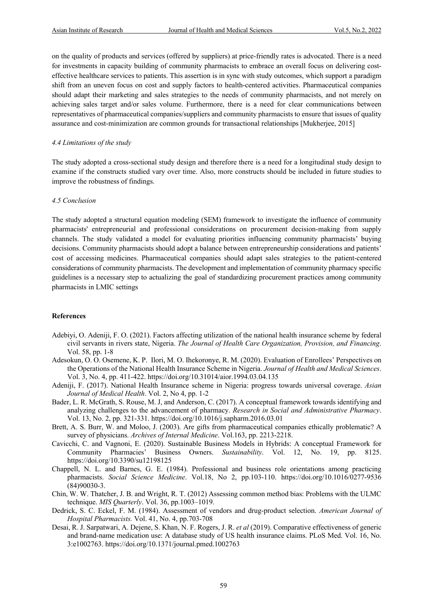on the quality of products and services (offered by suppliers) at price-friendly rates is advocated. There is a need for investments in capacity building of community pharmacists to embrace an overall focus on delivering costeffective healthcare services to patients. This assertion is in sync with study outcomes, which support a paradigm shift from an uneven focus on cost and supply factors to health-centered activities. Pharmaceutical companies should adapt their marketing and sales strategies to the needs of community pharmacists, and not merely on achieving sales target and/or sales volume. Furthermore, there is a need for clear communications between representatives of pharmaceutical companies/suppliers and community pharmacists to ensure that issues of quality assurance and cost-minimization are common grounds for transactional relationships [Mukherjee, 2015]

#### *4.4 Limitations of the study*

The study adopted a cross-sectional study design and therefore there is a need for a longitudinal study design to examine if the constructs studied vary over time. Also, more constructs should be included in future studies to improve the robustness of findings.

#### *4.5 Conclusion*

The study adopted a structural equation modeling (SEM) framework to investigate the influence of community pharmacists' entrepreneurial and professional considerations on procurement decision-making from supply channels. The study validated a model for evaluating priorities influencing community pharmacists' buying decisions. Community pharmacists should adopt a balance between entrepreneurship considerations and patients' cost of accessing medicines. Pharmaceutical companies should adapt sales strategies to the patient-centered considerations of community pharmacists. The development and implementation of community pharmacy specific guidelines is a necessary step to actualizing the goal of standardizing procurement practices among community pharmacists in LMIC settings

#### **References**

- Adebiyi, O. Adeniji, F. O. (2021). Factors affecting utilization of the national health insurance scheme by federal civil servants in rivers state, Nigeria. *The Journal of Health Care Organization, Provision, and Financing*. Vol. 58, pp. 1-8
- Adesokun, O. O. Osemene, K. P. Ilori, M. O. Ihekoronye, R. M. (2020). Evaluation of Enrollees' Perspectives on the Operations of the National Health Insurance Scheme in Nigeria. *Journal of Health and Medical Sciences*. Vol. 3, No. 4, pp. 411-422. https://doi.org/10.31014/aior.1994.03.04.135
- Adeniji, F. (2017). National Health Insurance scheme in Nigeria: progress towards universal coverage. *Asian Journal of Medical Health*. Vol. 2, No 4, pp. 1-2
- Bader, L. R. McGrath, S. Rouse, M. J, and Anderson, C. (2017). A conceptual framework towards identifying and analyzing challenges to the advancement of pharmacy. *Research in Social and Administrative Pharmacy*. Vol. 13, No. 2, pp. 321-331. https://doi.org/10.1016/j.sapharm.2016.03.01
- Brett, A. S. Burr, W. and Moloo, J. (2003). Are gifts from pharmaceutical companies ethically problematic? A survey of physicians. *Archives of Internal Medicine*. Vol.163, pp. 2213-2218.
- Cavicchi, C. and Vagnoni, E. (2020). Sustainable Business Models in Hybrids: A conceptual Framework for Community Pharmacies' Business Owners. *Sustainability*. Vol. 12, No. 19, pp. 8125. https://doi.org/10.3390/su12198125
- Chappell, N. L. and Barnes, G. E. (1984). Professional and business role orientations among practicing pharmacists. *Social Science Medicine*. Vol.18, No 2, pp.103-110. https://doi.org/10.1016/0277-9536 (84)90030-3.
- Chin, W. W. Thatcher, J. B. and Wright, R. T. (2012) Assessing common method bias: Problems with the ULMC technique. *MIS Quarterly*. Vol. 36, pp.1003–1019.
- Dedrick, S. C. Eckel, F. M. (1984). Assessment of vendors and drug-product selection. *American Journal of Hospital Pharmacists.* Vol. 41, No. 4, pp.703-708
- Desai, R. J. Sarpatwari, A. Dejene, S. Khan, N. F. Rogers, J. R. *et al* (2019). Comparative effectiveness of generic and brand-name medication use: A database study of US health insurance claims. PLoS Med. Vol. 16, No. 3:e1002763. https://doi.org/10.1371/journal.pmed.1002763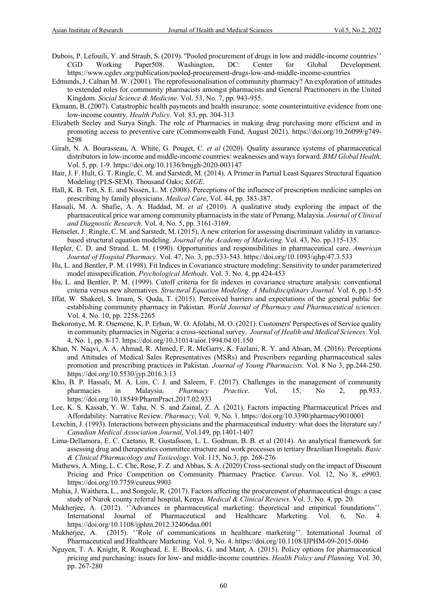- Dubois, P. Lefouili, Y. and Straub, S. (2019). ''Pooled procurement of drugs in low and middle-income countries'' CGD Working Paper508. Washington, DC: Center for Global Development. https://www.cgdev.org/publication/pooled-procurement-drugs-low-and-middle-income-countries
- Edmunds, J. Calnan M. W. (2001). The reprofessionalisation of community pharmacy? An exploration of attitudes to extended roles for community pharmacists amongst pharmacists and General Practitioners in the United Kingdom. *Social Science & Medicine*. Vol. 53, No. 7, pp. 943-955.
- Ekmann, B. (2007). Catastrophic health payments and health insurance: some counterintuitive evidence from one low-income country. *Health Policy*. Vol. 83, pp. 304-313
- Elizabeth Seeley and Surya Singh. The role of Pharmacies in making drug purchasing more efficient and in promoting access to preventive care (Commonwealth Fund, August 2021). https://doi.org/10.26099/g749 h298
- Giralt, N. A. Bourasseau, A. White, G. Pouget, C. *et al* (2020). Quality assurance systems of pharmaceutical distributors in low-income and middle-income countries: weaknesses and ways forward. *BMJ Global Health*. Vol. 5, pp. 1-9. https://doi.org/10.1136/bmjgh-2020-003147
- Hair, J. F. Hult, G. T. Ringle, C. M. and Sarstedt, M. (2014). A Primer in Partial Least Squares Structural Equation Modeling (PLS-SEM). Thousand Oaks; *SAGE*.
- Hall, K. B. Tett, S. E. and Nissen, L. M. (2008). Perceptions of the influence of prescription medicine samples on prescribing by family physicians. *Medical Care*, Vol. 44, pp. 383-387.
- Hassali, M. A. Shafie, A. A. Haddad, M. *et al* (2010). A qualitative study exploring the impact of the pharmaceutical price war among community pharmacists in the state of Penang, Malaysia. *Journal of Clinical and Diagnostic Research*. Vol. 4, No. 5, pp. 3161-3169.
- Henseler, J. Ringle, C. M. and Sarstedt, M. (2015). A new criterion for assessing discriminant validity in variancebased structural equation modeling. *Journal of the Academy of Marketing*. Vol. 43, No. pp.115-135.
- Hepler, C. D. and Strand. L. M. (1990). Opportunities and responsibilities in pharmaceutical care. *American Journal of Hospital Pharmacy*. Vol. 47, No. 3, pp.:533-543. https://doi.org/10.1093/ajhp/47.3.533
- Hu, L. and Bentler, P. M. (1998). Fit Indices in Covariance structure modeling: Sensitivity to under parameterized model misspecification. *Psychological Methods*. Vol. 3. No. 4, pp.424-453
- Hu, L. and Bentler, P. M. (1999). Cutoff criteria for fit indexes in covariance structure analysis: conventional criteria versus new alternatives. *Structural Equation Modeling: A Multidisciplinary Journal.* Vol. 6, pp.1-55
- Iffat, W. Shakeel, S. Imam, S. Quda, T. (2015). Perceived barriers and expectations of the general public for establishing community pharmacy in Pakistan. *World Journal of Pharmacy and Pharmaceutical sciences*. Vol. 4. No. 10, pp. 2258-2265
- Ihekoronye, M. R. Osemene, K. P. Erhun, W. O. Afolabi, M. O. (2021). Customers' Perspectives of Service quality in community pharmacies in Nigeria: a cross-sectional survey. *Journal of Health and Medical Sciences*. Vol. 4, No. 1, pp. 8-17. https://doi.org/10.31014/aior.1994.04.01.150
- Khan, N. Naqvi, A. A. Ahmad, R. Ahmed, F. R. McGarry, K. Fazlani, R. Y. and Ahsan, M. (2016). Perceptions and Attitudes of Medical Sales Representatives (MSRs) and Prescribers regarding pharmaceutical sales promotion and prescribing practices in Pakistan. *Journal of Young Pharmacists.* Vol. 8 No 3, pp.244-250. https://doi.org/10.5530/jyp.2016.3.13
- Kho, B. P. Hassali, M. A. Lim, C. J. and Saleem, F. (2017). Challenges in the management of community pharmacies in Malaysia. *Pharmacy Practice*. Vol, 15, No 2, pp.933. https://doi.org/10.18549/PharmPract.2017.02.933
- Lee, K. S. Kassab, Y. W. Taha, N. S. and Zainal, Z. A. (2021). Factors impacting Pharmaceutical Prices and Affordability: Narrative Review. *Pharmacy*, Vol. 9, No. 1. https://doi.org/10.3390/pharmacy9010001
- Lexchin, J. (1993). Interactions between physicians and the pharmaceutical industry: what does the literature say*? Canadian Medical Association Journal,* Vol.149, pp.1401-1407
- Lima-Dellamora, E. C. Caetano, R. Gustafsson, L. L. Godman, B. B. et al (2014). An analytical framework for assessing drug and therapeutics committee structure and work processes in tertiary Brazilian Hospitals. *Basic & Clinical Pharmacology and Toxicology*. Vol. 115, No.3, pp. 268-276
- Mathews, A. Ming, L. C. Che, Rose, F. Z. and Abbas, S. A. (2020) Cross-sectional study on the impact of Discount Pricing and Price Competition on Community Pharmacy Practice. *Cureus*. Vol. 12, No 8, e9903. https://doi.org/10.7759/cureus.9903
- Muhia, J. Waithera, L., and Songole, R. (2017). Factors affecting the procurement of pharmaceutical drugs: a case study of Narok county referral hospital, Kenya. *Medical & Clinical Reviews*. Vol. 3, No. 4, pp. 20.
- Mukherjee, A. (2012). ''Advances in pharmaceutical marketing: theoretical and empirical foundations''. International Journal of Pharmaceutical and Healthcare Marketing. Vol. 6, No. 4. https://doi.org/10.1108/ijphm.2012.32406daa.001
- Mukherjee, A. (2015). ''Role of communications in healthcare marketing''. International Journal of Pharmaceutical and Healthcare Marketing. Vol. 9, No. 4. https://doi.org/10.1108/IJPHM-09-2015-0046
- Nguyen, T. A. Knight, R. Roughead, E. E. Brooks, G. and Mant, A. (2015). Policy options for pharmaceutical pricing and purchasing: issues for low- and middle-income countries. *Health Policy and Planning*. Vol. 30, pp. 267-280